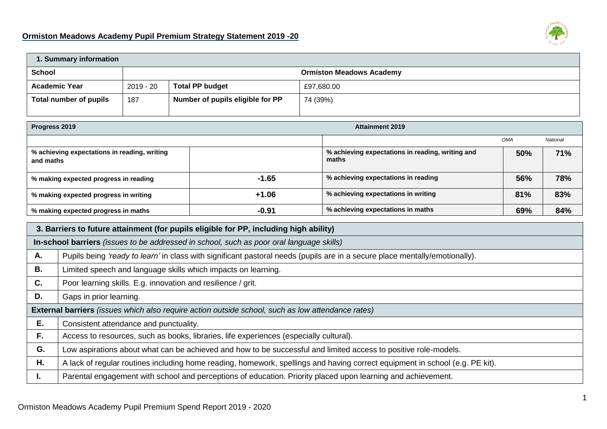## **Ormiston Meadows Academy Pupil Premium Strategy Statement 2019 -20**



| 1. Summary information                                                                   |                                                                                                                             |                                                     |                                  |                                   |                                                           |                        |            |                 |
|------------------------------------------------------------------------------------------|-----------------------------------------------------------------------------------------------------------------------------|-----------------------------------------------------|----------------------------------|-----------------------------------|-----------------------------------------------------------|------------------------|------------|-----------------|
| <b>School</b>                                                                            | <b>Ormiston Meadows Academy</b>                                                                                             |                                                     |                                  |                                   |                                                           |                        |            |                 |
| <b>Academic Year</b>                                                                     |                                                                                                                             | <b>Total PP budget</b><br>$2019 - 20$<br>£97,680.00 |                                  |                                   |                                                           |                        |            |                 |
| Total number of pupils<br>187                                                            |                                                                                                                             |                                                     | Number of pupils eligible for PP | 74 (39%)                          |                                                           |                        |            |                 |
|                                                                                          |                                                                                                                             |                                                     |                                  |                                   |                                                           |                        |            |                 |
| Progress 2019                                                                            |                                                                                                                             |                                                     |                                  |                                   |                                                           | <b>Attainment 2019</b> |            |                 |
|                                                                                          |                                                                                                                             |                                                     |                                  |                                   |                                                           |                        | <b>OMA</b> | <b>National</b> |
| % achieving expectations in reading, writing<br>and maths                                |                                                                                                                             |                                                     |                                  |                                   | % achieving expectations in reading, writing and<br>maths | 50%                    | 71%        |                 |
| % making expected progress in reading                                                    |                                                                                                                             |                                                     | $-1.65$                          |                                   | % achieving expectations in reading                       | 56%                    | 78%        |                 |
| % making expected progress in writing                                                    |                                                                                                                             |                                                     | $+1.06$                          |                                   | % achieving expectations in writing                       | 81%                    | 83%        |                 |
| $-0.91$<br>% making expected progress in maths                                           |                                                                                                                             |                                                     |                                  | % achieving expectations in maths | 69%                                                       | 84%                    |            |                 |
| 3. Barriers to future attainment (for pupils eligible for PP, including high ability)    |                                                                                                                             |                                                     |                                  |                                   |                                                           |                        |            |                 |
| In-school barriers (issues to be addressed in school, such as poor oral language skills) |                                                                                                                             |                                                     |                                  |                                   |                                                           |                        |            |                 |
| А.                                                                                       | Pupils being 'ready to learn' in class with significant pastoral needs (pupils are in a secure place mentally/emotionally). |                                                     |                                  |                                   |                                                           |                        |            |                 |
| <b>B.</b>                                                                                | Limited speech and language skills which impacts on learning.                                                               |                                                     |                                  |                                   |                                                           |                        |            |                 |
| C.                                                                                       | Poor learning skills. E.g. innovation and resilience / grit.                                                                |                                                     |                                  |                                   |                                                           |                        |            |                 |

**D.** Gaps in prior learning. **External barriers** *(issues which also require action outside school, such as low attendance rates)* **E.** Consistent attendance and punctuality. **F.** Access to resources, such as books, libraries, life experiences (especially cultural). **G.** Low aspirations about what can be achieved and how to be successful and limited access to positive role-models. **H.** A lack of regular routines including home reading, homework, spellings and having correct equipment in school (e.g. PE kit). **I.** Parental engagement with school and perceptions of education. Priority placed upon learning and achievement.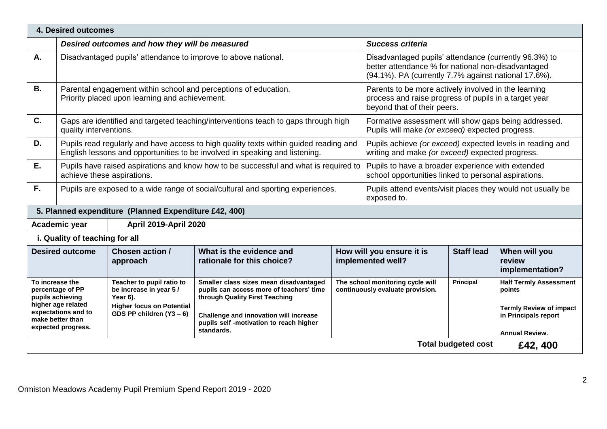| 4. Desired outcomes                                                                                                                                                                                     |                                                                                                                                                                                                                                 |                                                                                                                                    |                                                                                                                                                                                                                         |                         |                                                                                                                                                                     |                                  |                                                                                                                                        |  |
|---------------------------------------------------------------------------------------------------------------------------------------------------------------------------------------------------------|---------------------------------------------------------------------------------------------------------------------------------------------------------------------------------------------------------------------------------|------------------------------------------------------------------------------------------------------------------------------------|-------------------------------------------------------------------------------------------------------------------------------------------------------------------------------------------------------------------------|-------------------------|---------------------------------------------------------------------------------------------------------------------------------------------------------------------|----------------------------------|----------------------------------------------------------------------------------------------------------------------------------------|--|
|                                                                                                                                                                                                         | Desired outcomes and how they will be measured                                                                                                                                                                                  |                                                                                                                                    |                                                                                                                                                                                                                         | <b>Success criteria</b> |                                                                                                                                                                     |                                  |                                                                                                                                        |  |
| А.                                                                                                                                                                                                      |                                                                                                                                                                                                                                 |                                                                                                                                    | Disadvantaged pupils' attendance to improve to above national.                                                                                                                                                          |                         | Disadvantaged pupils' attendance (currently 96.3%) to<br>better attendance % for national non-disadvantaged<br>(94.1%). PA (currently 7.7% against national 17.6%). |                                  |                                                                                                                                        |  |
| <b>B.</b>                                                                                                                                                                                               |                                                                                                                                                                                                                                 | Priority placed upon learning and achievement.                                                                                     | Parental engagement within school and perceptions of education.                                                                                                                                                         |                         | beyond that of their peers.                                                                                                                                         |                                  | Parents to be more actively involved in the learning<br>process and raise progress of pupils in a target year                          |  |
| C.                                                                                                                                                                                                      | quality interventions.                                                                                                                                                                                                          |                                                                                                                                    | Gaps are identified and targeted teaching/interventions teach to gaps through high                                                                                                                                      |                         | Formative assessment will show gaps being addressed.<br>Pupils will make (or exceed) expected progress.                                                             |                                  |                                                                                                                                        |  |
| D.                                                                                                                                                                                                      |                                                                                                                                                                                                                                 |                                                                                                                                    | Pupils read regularly and have access to high quality texts within guided reading and<br>English lessons and opportunities to be involved in speaking and listening.                                                    |                         | Pupils achieve (or exceed) expected levels in reading and<br>writing and make (or exceed) expected progress.                                                        |                                  |                                                                                                                                        |  |
| Ε.                                                                                                                                                                                                      | Pupils have raised aspirations and know how to be successful and what is required to<br>Pupils to have a broader experience with extended<br>school opportunities linked to personal aspirations.<br>achieve these aspirations. |                                                                                                                                    |                                                                                                                                                                                                                         |                         |                                                                                                                                                                     |                                  |                                                                                                                                        |  |
| F.<br>Pupils are exposed to a wide range of social/cultural and sporting experiences.<br>exposed to.                                                                                                    |                                                                                                                                                                                                                                 |                                                                                                                                    |                                                                                                                                                                                                                         |                         | Pupils attend events/visit places they would not usually be                                                                                                         |                                  |                                                                                                                                        |  |
|                                                                                                                                                                                                         |                                                                                                                                                                                                                                 | 5. Planned expenditure (Planned Expenditure £42, 400)                                                                              |                                                                                                                                                                                                                         |                         |                                                                                                                                                                     |                                  |                                                                                                                                        |  |
|                                                                                                                                                                                                         | Academic year                                                                                                                                                                                                                   | <b>April 2019-April 2020</b>                                                                                                       |                                                                                                                                                                                                                         |                         |                                                                                                                                                                     |                                  |                                                                                                                                        |  |
|                                                                                                                                                                                                         | i. Quality of teaching for all                                                                                                                                                                                                  |                                                                                                                                    |                                                                                                                                                                                                                         |                         |                                                                                                                                                                     |                                  |                                                                                                                                        |  |
| <b>Chosen action /</b><br>What is the evidence and<br>How will you ensure it is<br><b>Staff lead</b><br><b>Desired outcome</b><br>implemented well?<br>rationale for this choice?<br>review<br>approach |                                                                                                                                                                                                                                 |                                                                                                                                    |                                                                                                                                                                                                                         |                         |                                                                                                                                                                     | When will you<br>implementation? |                                                                                                                                        |  |
| To increase the<br>percentage of PP<br>pupils achieving<br>higher age related<br>expectations and to<br>make better than<br>expected progress.                                                          |                                                                                                                                                                                                                                 | Teacher to pupil ratio to<br>be increase in year 5 /<br>Year 6).<br><b>Higher focus on Potential</b><br>GDS PP children $(Y3 - 6)$ | Smaller class sizes mean disadvantaged<br>pupils can access more of teachers' time<br>through Quality First Teaching<br>Challenge and innovation will increase<br>pupils self -motivation to reach higher<br>standards. |                         | The school monitoring cycle will<br>continuously evaluate provision.                                                                                                | <b>Principal</b>                 | <b>Half Termly Assessment</b><br>points<br><b>Termly Review of impact</b><br>in Principals report<br><b>Annual Review.</b><br>£42, 400 |  |
|                                                                                                                                                                                                         | <b>Total budgeted cost</b>                                                                                                                                                                                                      |                                                                                                                                    |                                                                                                                                                                                                                         |                         |                                                                                                                                                                     |                                  |                                                                                                                                        |  |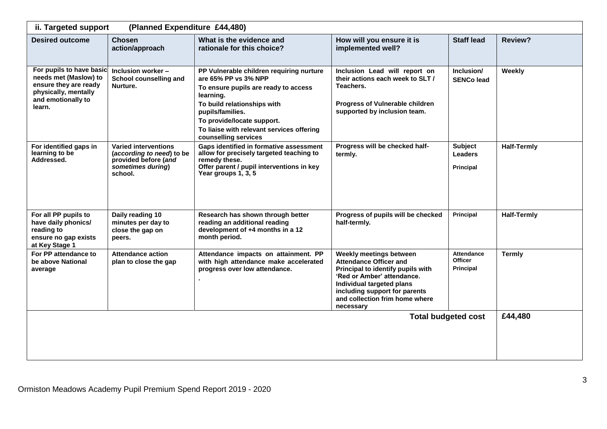| (Planned Expenditure £44,480)<br>ii. Targeted support                                                                              |                                                                                                                  |                                                                                                                                                                                                                                                                             |                                                                                                                                                                                                                                          |                                                  |                    |  |
|------------------------------------------------------------------------------------------------------------------------------------|------------------------------------------------------------------------------------------------------------------|-----------------------------------------------------------------------------------------------------------------------------------------------------------------------------------------------------------------------------------------------------------------------------|------------------------------------------------------------------------------------------------------------------------------------------------------------------------------------------------------------------------------------------|--------------------------------------------------|--------------------|--|
| <b>Desired outcome</b>                                                                                                             | Chosen<br>action/approach                                                                                        | What is the evidence and<br>rationale for this choice?                                                                                                                                                                                                                      | How will you ensure it is<br>implemented well?                                                                                                                                                                                           | <b>Staff lead</b>                                | Review?            |  |
| For pupils to have basic<br>needs met (Maslow) to<br>ensure they are ready<br>physically, mentally<br>and emotionally to<br>learn. | Inclusion worker -<br>School counselling and<br>Nurture.                                                         | PP Vulnerable children requiring nurture<br>are 65% PP vs 3% NPP<br>To ensure pupils are ready to access<br>learning.<br>To build relationships with<br>pupils/families.<br>To provide/locate support.<br>To liaise with relevant services offering<br>counselling services | Inclusion Lead will report on<br>their actions each week to SLT /<br>Teachers.<br>Progress of Vulnerable children<br>supported by inclusion team.                                                                                        | Inclusion/<br><b>SENCo lead</b>                  | Weekly             |  |
| For identified gaps in<br>learning to be<br>Addressed.                                                                             | <b>Varied interventions</b><br>(according to need) to be<br>provided before (and<br>sometimes during)<br>school. | Gaps identified in formative assessment<br>allow for precisely targeted teaching to<br>remedy these.<br>Offer parent / pupil interventions in key<br>Year groups 1, 3, 5                                                                                                    | Progress will be checked half-<br>termly.                                                                                                                                                                                                | <b>Subject</b><br><b>Leaders</b><br>Principal    | <b>Half-Termly</b> |  |
| For all PP pupils to<br>have daily phonics/<br>reading to<br>ensure no gap exists<br>at Key Stage 1                                | Daily reading 10<br>minutes per day to<br>close the gap on<br>peers.                                             | Research has shown through better<br>reading an additional reading<br>development of +4 months in a 12<br>month period.                                                                                                                                                     | Progress of pupils will be checked<br>half-termly.                                                                                                                                                                                       | Principal                                        | <b>Half-Termly</b> |  |
| For PP attendance to<br>be above National<br>average                                                                               | <b>Attendance action</b><br>plan to close the gap                                                                | Attendance impacts on attainment. PP<br>with high attendance make accelerated<br>progress over low attendance.                                                                                                                                                              | Weekly meetings between<br><b>Attendance Officer and</b><br>Principal to identify pupils with<br>'Red or Amber' attendance.<br>Individual targeted plans<br>including support for parents<br>and collection frim home where<br>necessary | <b>Attendance</b><br><b>Officer</b><br>Principal | <b>Termly</b>      |  |
|                                                                                                                                    | £44,480                                                                                                          |                                                                                                                                                                                                                                                                             |                                                                                                                                                                                                                                          |                                                  |                    |  |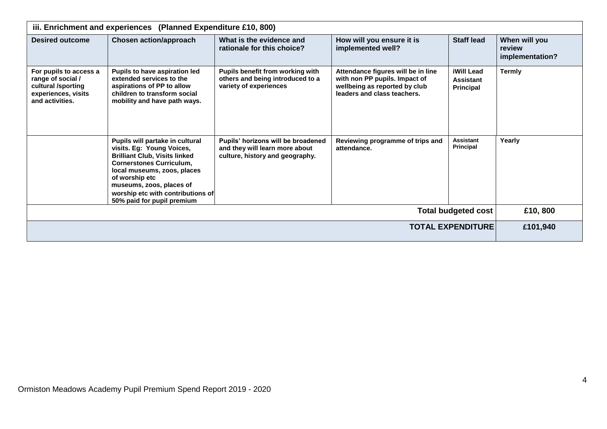| iii. Enrichment and experiences (Planned Expenditure £10, 800)                                              |                                                                                                                                                                                                                                                                                         |                                                                                                         |                                                                                                                                     |                                                    |                                            |  |  |
|-------------------------------------------------------------------------------------------------------------|-----------------------------------------------------------------------------------------------------------------------------------------------------------------------------------------------------------------------------------------------------------------------------------------|---------------------------------------------------------------------------------------------------------|-------------------------------------------------------------------------------------------------------------------------------------|----------------------------------------------------|--------------------------------------------|--|--|
| <b>Desired outcome</b>                                                                                      | <b>Chosen action/approach</b>                                                                                                                                                                                                                                                           | What is the evidence and<br>rationale for this choice?                                                  | How will you ensure it is<br>implemented well?                                                                                      | <b>Staff lead</b>                                  | When will you<br>review<br>implementation? |  |  |
| For pupils to access a<br>range of social /<br>cultural /sporting<br>experiences, visits<br>and activities. | <b>Pupils to have aspiration led</b><br>extended services to the<br>aspirations of PP to allow<br>children to transform social<br>mobility and have path ways.                                                                                                                          | Pupils benefit from working with<br>others and being introduced to a<br>variety of experiences          | Attendance figures will be in line<br>with non PP pupils. Impact of<br>wellbeing as reported by club<br>leaders and class teachers. | iWill Lead<br><b>Assistant</b><br><b>Principal</b> | <b>Termly</b>                              |  |  |
|                                                                                                             | Pupils will partake in cultural<br>visits. Eg: Young Voices,<br><b>Brilliant Club, Visits linked</b><br><b>Cornerstones Curriculum,</b><br>local museums, zoos, places<br>of worship etc<br>museums, zoos, places of<br>worship etc with contributions of<br>50% paid for pupil premium | Pupils' horizons will be broadened<br>and they will learn more about<br>culture, history and geography. | Reviewing programme of trips and<br>attendance.                                                                                     | <b>Assistant</b><br>Principal                      | Yearly                                     |  |  |
|                                                                                                             | £10,800                                                                                                                                                                                                                                                                                 |                                                                                                         |                                                                                                                                     |                                                    |                                            |  |  |
|                                                                                                             | £101,940                                                                                                                                                                                                                                                                                |                                                                                                         |                                                                                                                                     |                                                    |                                            |  |  |